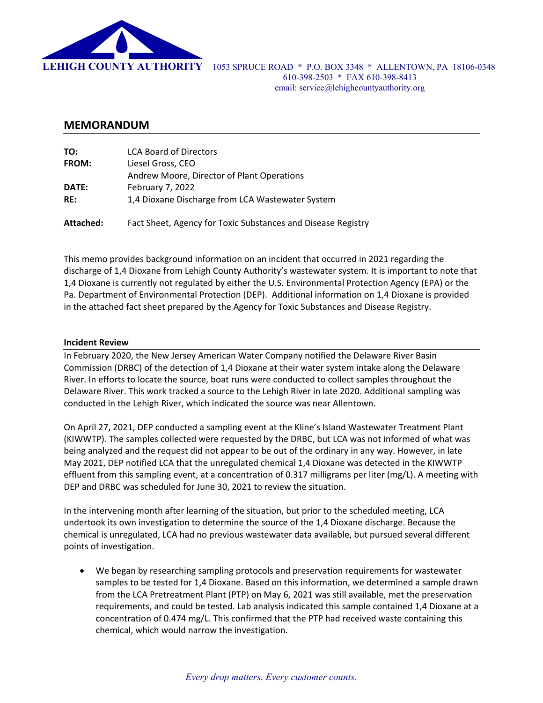

#### **MEMORANDUM**

| TO:          | <b>LCA Board of Directors</b>                                |
|--------------|--------------------------------------------------------------|
| <b>FROM:</b> | Liesel Gross, CEO                                            |
|              | Andrew Moore, Director of Plant Operations                   |
| DATE:        | February 7, 2022                                             |
| RE:          | 1,4 Dioxane Discharge from LCA Wastewater System             |
| Attached:    | Fact Sheet, Agency for Toxic Substances and Disease Registry |

This memo provides background information on an incident that occurred in 2021 regarding the discharge of 1,4 Dioxane from Lehigh County Authority's wastewater system. It is important to note that 1,4 Dioxane is currently not regulated by either the U.S. Environmental Protection Agency (EPA) or the Pa. Department of Environmental Protection (DEP). Additional information on 1,4 Dioxane is provided in the attached fact sheet prepared by the Agency for Toxic Substances and Disease Registry.

#### **Incident Review**

In February 2020, the New Jersey American Water Company notified the Delaware River Basin Commission (DRBC) of the detection of 1,4 Dioxane at their water system intake along the Delaware River. In efforts to locate the source, boat runs were conducted to collect samples throughout the Delaware River. This work tracked a source to the Lehigh River in late 2020. Additional sampling was conducted in the Lehigh River, which indicated the source was near Allentown.

On April 27, 2021, DEP conducted a sampling event at the Kline's Island Wastewater Treatment Plant (KIWWTP). The samples collected were requested by the DRBC, but LCA was not informed of what was being analyzed and the request did not appear to be out of the ordinary in any way. However, in late May 2021, DEP notified LCA that the unregulated chemical 1,4 Dioxane was detected in the KIWWTP effluent from this sampling event, at a concentration of 0.317 milligrams per liter (mg/L). A meeting with DEP and DRBC was scheduled for June 30, 2021 to review the situation.

In the intervening month after learning of the situation, but prior to the scheduled meeting, LCA undertook its own investigation to determine the source of the 1,4 Dioxane discharge. Because the chemical is unregulated, LCA had no previous wastewater data available, but pursued several different points of investigation.

 We began by researching sampling protocols and preservation requirements for wastewater samples to be tested for 1,4 Dioxane. Based on this information, we determined a sample drawn from the LCA Pretreatment Plant (PTP) on May 6, 2021 was still available, met the preservation requirements, and could be tested. Lab analysis indicated this sample contained 1,4 Dioxane at a concentration of 0.474 mg/L. This confirmed that the PTP had received waste containing this chemical, which would narrow the investigation.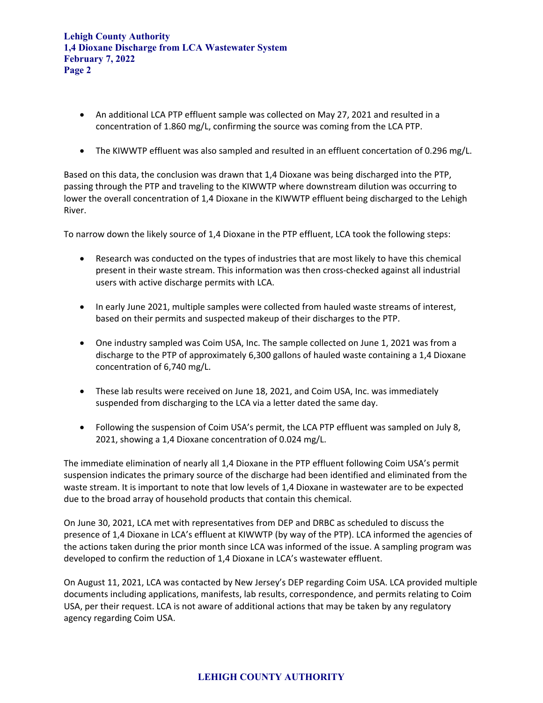**Lehigh County Authority 1,4 Dioxane Discharge from LCA Wastewater System February 7, 2022 Page 2** 

- An additional LCA PTP effluent sample was collected on May 27, 2021 and resulted in a concentration of 1.860 mg/L, confirming the source was coming from the LCA PTP.
- The KIWWTP effluent was also sampled and resulted in an effluent concertation of 0.296 mg/L.

Based on this data, the conclusion was drawn that 1,4 Dioxane was being discharged into the PTP, passing through the PTP and traveling to the KIWWTP where downstream dilution was occurring to lower the overall concentration of 1,4 Dioxane in the KIWWTP effluent being discharged to the Lehigh River.

To narrow down the likely source of 1,4 Dioxane in the PTP effluent, LCA took the following steps:

- Research was conducted on the types of industries that are most likely to have this chemical present in their waste stream. This information was then cross‐checked against all industrial users with active discharge permits with LCA.
- In early June 2021, multiple samples were collected from hauled waste streams of interest, based on their permits and suspected makeup of their discharges to the PTP.
- One industry sampled was Coim USA, Inc. The sample collected on June 1, 2021 was from a discharge to the PTP of approximately 6,300 gallons of hauled waste containing a 1,4 Dioxane concentration of 6,740 mg/L.
- These lab results were received on June 18, 2021, and Coim USA, Inc. was immediately suspended from discharging to the LCA via a letter dated the same day.
- Following the suspension of Coim USA's permit, the LCA PTP effluent was sampled on July 8, 2021, showing a 1,4 Dioxane concentration of 0.024 mg/L.

The immediate elimination of nearly all 1,4 Dioxane in the PTP effluent following Coim USA's permit suspension indicates the primary source of the discharge had been identified and eliminated from the waste stream. It is important to note that low levels of 1,4 Dioxane in wastewater are to be expected due to the broad array of household products that contain this chemical.

On June 30, 2021, LCA met with representatives from DEP and DRBC as scheduled to discuss the presence of 1,4 Dioxane in LCA's effluent at KIWWTP (by way of the PTP). LCA informed the agencies of the actions taken during the prior month since LCA was informed of the issue. A sampling program was developed to confirm the reduction of 1,4 Dioxane in LCA's wastewater effluent.

On August 11, 2021, LCA was contacted by New Jersey's DEP regarding Coim USA. LCA provided multiple documents including applications, manifests, lab results, correspondence, and permits relating to Coim USA, per their request. LCA is not aware of additional actions that may be taken by any regulatory agency regarding Coim USA.

#### **LEHIGH COUNTY AUTHORITY**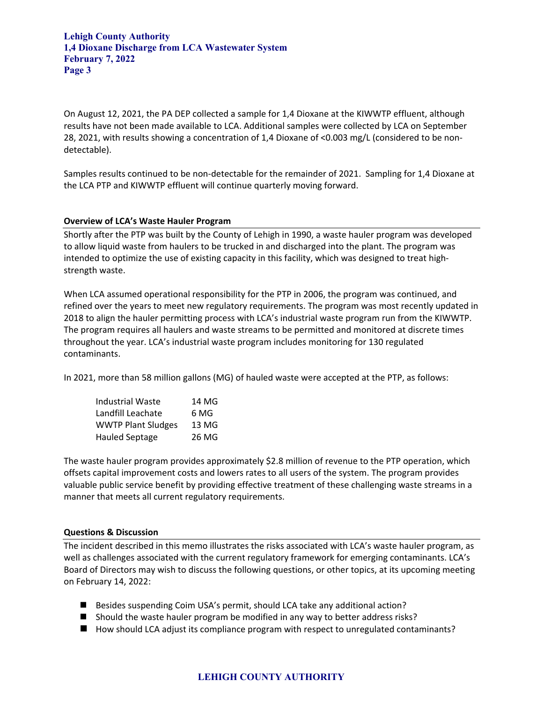**Lehigh County Authority 1,4 Dioxane Discharge from LCA Wastewater System February 7, 2022 Page 3** 

On August 12, 2021, the PA DEP collected a sample for 1,4 Dioxane at the KIWWTP effluent, although results have not been made available to LCA. Additional samples were collected by LCA on September 28, 2021, with results showing a concentration of 1,4 Dioxane of <0.003 mg/L (considered to be non‐ detectable).

Samples results continued to be non-detectable for the remainder of 2021. Sampling for 1,4 Dioxane at the LCA PTP and KIWWTP effluent will continue quarterly moving forward.

#### **Overview of LCA's Waste Hauler Program**

Shortly after the PTP was built by the County of Lehigh in 1990, a waste hauler program was developed to allow liquid waste from haulers to be trucked in and discharged into the plant. The program was intended to optimize the use of existing capacity in this facility, which was designed to treat high‐ strength waste.

When LCA assumed operational responsibility for the PTP in 2006, the program was continued, and refined over the years to meet new regulatory requirements. The program was most recently updated in 2018 to align the hauler permitting process with LCA's industrial waste program run from the KIWWTP. The program requires all haulers and waste streams to be permitted and monitored at discrete times throughout the year. LCA's industrial waste program includes monitoring for 130 regulated contaminants.

In 2021, more than 58 million gallons (MG) of hauled waste were accepted at the PTP, as follows:

| <b>Industrial Waste</b>   | 14 MG |
|---------------------------|-------|
| Landfill Leachate         | 6 MG  |
| <b>WWTP Plant Sludges</b> | 13 MG |
| <b>Hauled Septage</b>     | 26 MG |

The waste hauler program provides approximately \$2.8 million of revenue to the PTP operation, which offsets capital improvement costs and lowers rates to all users of the system. The program provides valuable public service benefit by providing effective treatment of these challenging waste streams in a manner that meets all current regulatory requirements.

#### **Questions & Discussion**

The incident described in this memo illustrates the risks associated with LCA's waste hauler program, as well as challenges associated with the current regulatory framework for emerging contaminants. LCA's Board of Directors may wish to discuss the following questions, or other topics, at its upcoming meeting on February 14, 2022:

- Besides suspending Coim USA's permit, should LCA take any additional action?
- Should the waste hauler program be modified in any way to better address risks?
- How should LCA adjust its compliance program with respect to unregulated contaminants?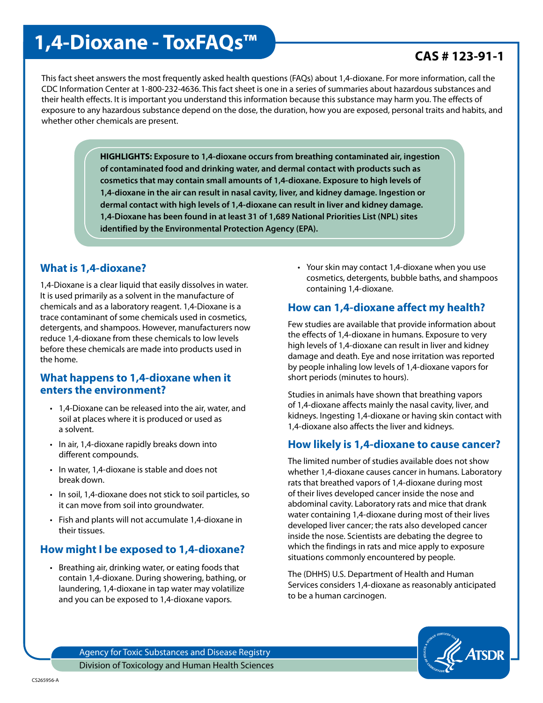# **1,4-Dioxane - ToxFAQs<sup>™</sup> Processor CAS # 123-91-1**

This fact sheet answers the most frequently asked health questions (FAQs) about 1,4-dioxane. For more information, call the CDC Information Center at 1-800-232-4636. This fact sheet is one in a series of summaries about hazardous substances and their health effects. It is important you understand this information because this substance may harm you. The effects of exposure to any hazardous substance depend on the dose, the duration, how you are exposed, personal traits and habits, and whether other chemicals are present.

> **HIGHLIGHTS: Exposure to 1,4-dioxane occurs from breathing contaminated air, ingestion of contaminated food and drinking water, and dermal contact with products such as cosmetics that may contain small amounts of 1,4-dioxane. Exposure to high levels of 1,4-dioxane in the air can result in nasal cavity, liver, and kidney damage. Ingestion or dermal contact with high levels of 1,4-dioxane can result in liver and kidney damage. 1,4-Dioxane has been found in at least 31 of 1,689 National Priorities List (NPL) sites identified by the Environmental Protection Agency (EPA).**

#### **What is 1,4-dioxane?**

1,4-Dioxane is a clear liquid that easily dissolves in water. It is used primarily as a solvent in the manufacture of chemicals and as a laboratory reagent. 1,4-Dioxane is a trace contaminant of some chemicals used in cosmetics, detergents, and shampoos. However, manufacturers now reduce 1,4-dioxane from these chemicals to low levels before these chemicals are made into products used in the home.

#### **What happens to 1,4-dioxane when it enters the environment?**

- 1,4-Dioxane can be released into the air, water, and soil at places where it is produced or used as a solvent.
- In air, 1,4-dioxane rapidly breaks down into different compounds.
- In water, 1,4-dioxane is stable and does not break down.
- In soil, 1,4-dioxane does not stick to soil particles, so it can move from soil into groundwater.
- Fish and plants will not accumulate 1,4-dioxane in their tissues.

#### **How might I be exposed to 1,4-dioxane?**

• Breathing air, drinking water, or eating foods that contain 1,4-dioxane. During showering, bathing, or laundering, 1,4-dioxane in tap water may volatilize and you can be exposed to 1,4-dioxane vapors.

• Your skin may contact 1,4-dioxane when you use cosmetics, detergents, bubble baths, and shampoos containing 1,4-dioxane.

#### **How can 1,4-dioxane affect my health?**

Few studies are available that provide information about the effects of 1,4-dioxane in humans. Exposure to very high levels of 1,4-dioxane can result in liver and kidney damage and death. Eye and nose irritation was reported by people inhaling low levels of 1,4-dioxane vapors for short periods (minutes to hours).

Studies in animals have shown that breathing vapors of 1,4-dioxane affects mainly the nasal cavity, liver, and kidneys. Ingesting 1,4-dioxane or having skin contact with 1,4-dioxane also affects the liver and kidneys.

#### **How likely is 1,4-dioxane to cause cancer?**

The limited number of studies available does not show whether 1,4-dioxane causes cancer in humans. Laboratory rats that breathed vapors of 1,4-dioxane during most of their lives developed cancer inside the nose and abdominal cavity. Laboratory rats and mice that drank water containing 1,4-dioxane during most of their lives developed liver cancer; the rats also developed cancer inside the nose. Scientists are debating the degree to which the findings in rats and mice apply to exposure situations commonly encountered by people.

The (DHHS) U.S. Department of Health and Human Services considers 1,4-dioxane as reasonably anticipated to be a human carcinogen.



Agency for Toxic Substances and Disease Registry Division of Toxicology and Human Health Sciences